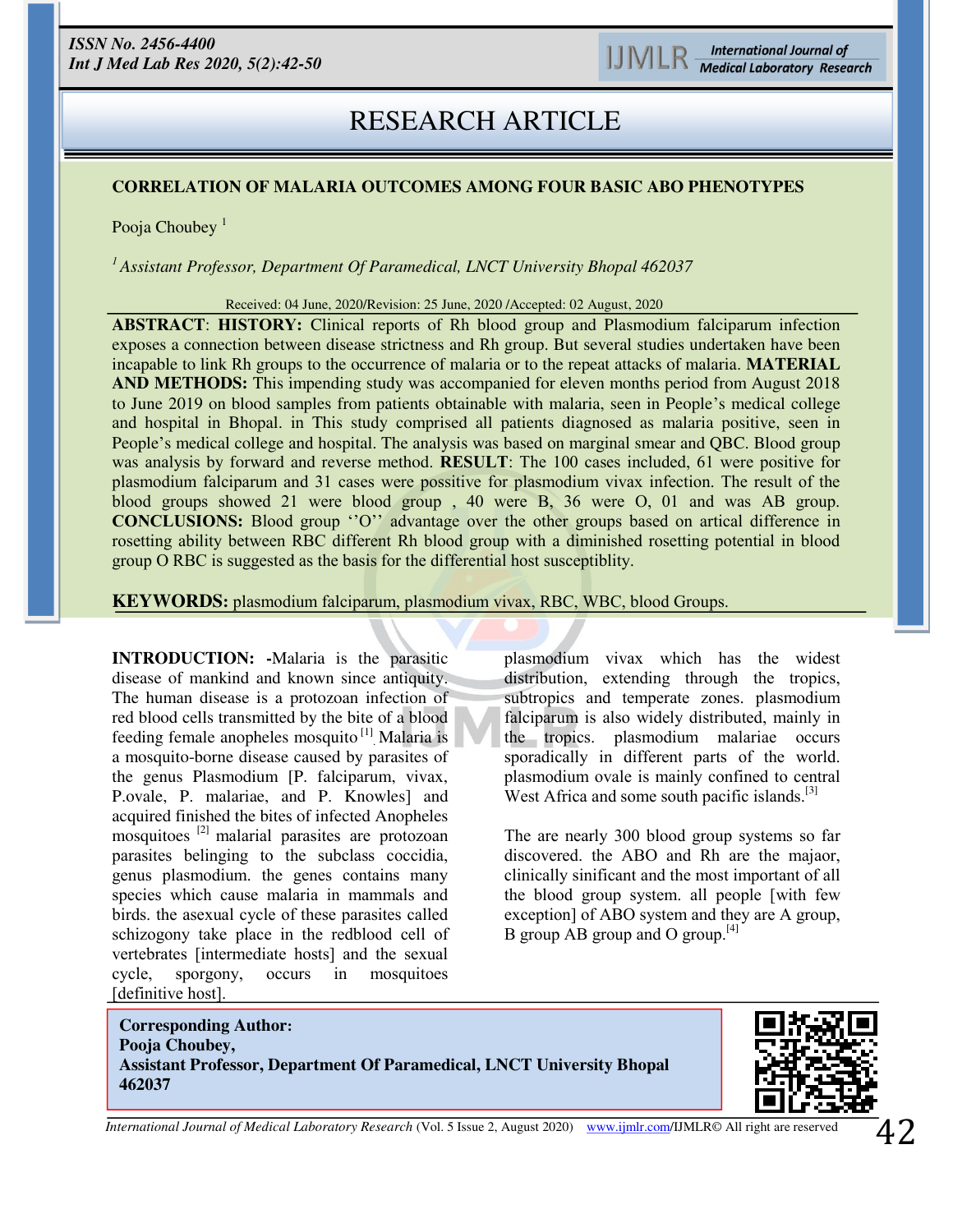# **RESEARCH ARTICLE**  RESEARCH ARTICLE

# **CORRELATION OF MALARIA OUTCOMES AMONG FOUR BASIC ABO PHENOTYPES**

Pooja Choubey<sup> $1$ </sup>

*<sup>1</sup>Assistant Professor, Department Of Paramedical, LNCT University Bhopal 462037* 

Received: 04 June, 2020/Revision: 25 June, 2020 /Accepted: 02 August, 2020

**ABSTRACT**: **HISTORY:** Clinical reports of Rh blood group and Plasmodium falciparum infection exposes a connection between disease strictness and Rh group. But several studies undertaken have been incapable to link Rh groups to the occurrence of malaria or to the repeat attacks of malaria. **MATERIAL AND METHODS:** This impending study was accompanied for eleven months period from August 2018 to June 2019 on blood samples from patients obtainable with malaria, seen in People's medical college and hospital in Bhopal. in This study comprised all patients diagnosed as malaria positive, seen in People's medical college and hospital. The analysis was based on marginal smear and QBC. Blood group was analysis by forward and reverse method. **RESULT**: The 100 cases included, 61 were positive for plasmodium falciparum and 31 cases were possitive for plasmodium vivax infection. The result of the blood groups showed 21 were blood group , 40 were B, 36 were O, 01 and was AB group. **CONCLUSIONS:** Blood group ''O'' advantage over the other groups based on artical difference in rosetting ability between RBC different Rh blood group with a diminished rosetting potential in blood group O RBC is suggested as the basis for the differential host susceptiblity.

**KEYWORDS:** plasmodium falciparum, plasmodium vivax, RBC, WBC, blood Groups.

**INTRODUCTION: -**Malaria is the parasitic disease of mankind and known since antiquity. The human disease is a protozoan infection of red blood cells transmitted by the bite of a blood feeding female anopheles mosquito<sup>[1]</sup> Malaria is a mosquito-borne disease caused by parasites of the genus Plasmodium [P. falciparum, vivax, P.ovale, P. malariae, and P. Knowles] and acquired finished the bites of infected Anopheles mosquitoes [2] malarial parasites are protozoan parasites belinging to the subclass coccidia, genus plasmodium. the genes contains many species which cause malaria in mammals and birds. the asexual cycle of these parasites called schizogony take place in the redblood cell of vertebrates [intermediate hosts] and the sexual cycle, sporgony, occurs in mosquitoes [definitive host].

İ

plasmodium vivax which has the widest distribution, extending through the tropics, subtropics and temperate zones. plasmodium falciparum is also widely distributed, mainly in the tropics. plasmodium malariae occurs sporadically in different parts of the world. plasmodium ovale is mainly confined to central West Africa and some south pacific islands.<sup>[3]</sup>

The are nearly 300 blood group systems so far discovered. the ABO and Rh are the majaor, clinically sinificant and the most important of all the blood group system. all people [with few exception] of ABO system and they are A group, B group AB group and O group.<sup>[4]</sup>

**Corresponding Author: Pooja Choubey, Assistant Professor, Department Of Paramedical, LNCT University Bhopal 462037** 

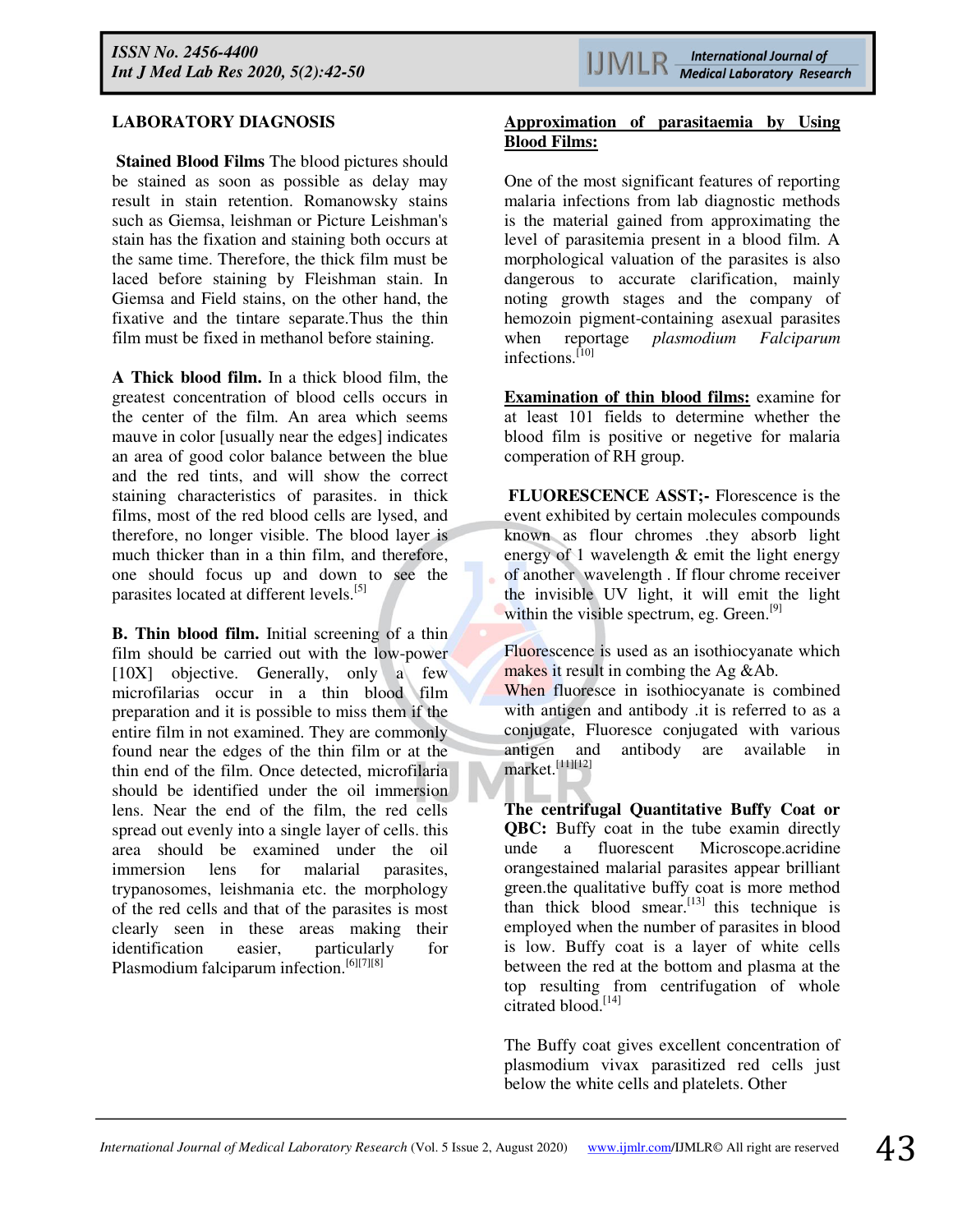# **LABORATORY DIAGNOSIS**

 **Stained Blood Films** The blood pictures should be stained as soon as possible as delay may result in stain retention. Romanowsky stains such as Giemsa, leishman or Picture Leishman's stain has the fixation and staining both occurs at the same time. Therefore, the thick film must be laced before staining by Fleishman stain. In Giemsa and Field stains, on the other hand, the fixative and the tintare separate.Thus the thin film must be fixed in methanol before staining.

**A Thick blood film.** In a thick blood film, the greatest concentration of blood cells occurs in the center of the film. An area which seems mauve in color [usually near the edges] indicates an area of good color balance between the blue and the red tints, and will show the correct staining characteristics of parasites. in thick films, most of the red blood cells are lysed, and therefore, no longer visible. The blood layer is much thicker than in a thin film, and therefore, one should focus up and down to see the parasites located at different levels.<sup>[5]</sup>

**B. Thin blood film.** Initial screening of a thin film should be carried out with the low-power [10X] objective. Generally, only a few microfilarias occur in a thin blood film preparation and it is possible to miss them if the entire film in not examined. They are commonly found near the edges of the thin film or at the thin end of the film. Once detected, microfilaria should be identified under the oil immersion lens. Near the end of the film, the red cells spread out evenly into a single layer of cells. this area should be examined under the oil immersion lens for malarial parasites, trypanosomes, leishmania etc. the morphology of the red cells and that of the parasites is most clearly seen in these areas making their identification easier, particularly for Plasmodium falciparum infection.<sup>[6][7][8]</sup>

## **Approximation of parasitaemia by Using Blood Films:**

One of the most significant features of reporting malaria infections from lab diagnostic methods is the material gained from approximating the level of parasitemia present in a blood film. A morphological valuation of the parasites is also dangerous to accurate clarification, mainly noting growth stages and the company of hemozoin pigment-containing asexual parasites when reportage *plasmodium Falciparum*  infections.[10]

**Examination of thin blood films:** examine for at least 101 fields to determine whether the blood film is positive or negetive for malaria comperation of RH group.

 **FLUORESCENCE ASST;-** Florescence is the event exhibited by certain molecules compounds known as flour chromes .they absorb light energy of 1 wavelength & emit the light energy of another wavelength . If flour chrome receiver the invisible UV light, it will emit the light within the visible spectrum, eg. Green.<sup>[9]</sup>

Fluorescence is used as an isothiocyanate which makes it result in combing the Ag &Ab.

When fluoresce in isothiocyanate is combined with antigen and antibody .it is referred to as a conjugate, Fluoresce conjugated with various antigen and antibody are available in market.[11][12]

**The centrifugal Quantitative Buffy Coat or QBC:** Buffy coat in the tube examin directly unde a fluorescent Microscope.acridine orangestained malarial parasites appear brilliant green.the qualitative buffy coat is more method than thick blood smear.<sup>[13]</sup> this technique is employed when the number of parasites in blood is low. Buffy coat is a layer of white cells between the red at the bottom and plasma at the top resulting from centrifugation of whole citrated blood.<sup>[14]</sup>

The Buffy coat gives excellent concentration of plasmodium vivax parasitized red cells just below the white cells and platelets. Other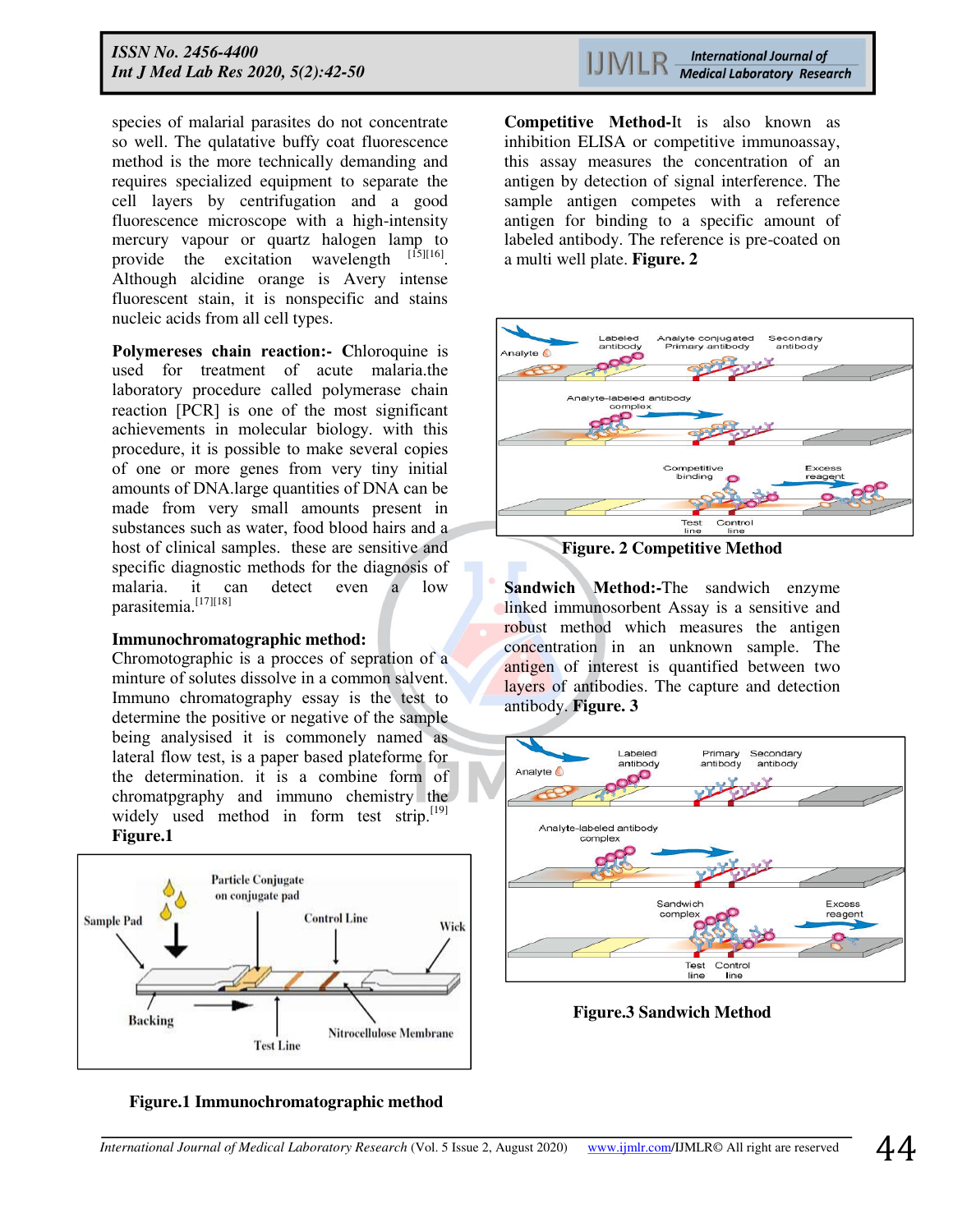species of malarial parasites do not concentrate so well. The qulatative buffy coat fluorescence method is the more technically demanding and requires specialized equipment to separate the cell layers by centrifugation and a good fluorescence microscope with a high-intensity mercury vapour or quartz halogen lamp to provide the excitation wavelength  $^{[15][16]}$ . Although alcidine orange is Avery intense fluorescent stain, it is nonspecific and stains nucleic acids from all cell types.

**Polymereses chain reaction:- C**hloroquine is used for treatment of acute malaria.the laboratory procedure called polymerase chain reaction [PCR] is one of the most significant achievements in molecular biology. with this procedure, it is possible to make several copies of one or more genes from very tiny initial amounts of DNA.large quantities of DNA can be made from very small amounts present in substances such as water, food blood hairs and a host of clinical samples. these are sensitive and specific diagnostic methods for the diagnosis of malaria. it can detect even a low parasitemia.[17][18]

## **Immunochromatographic method:**

Chromotographic is a procces of sepration of a minture of solutes dissolve in a common salvent. Immuno chromatography essay is the test to determine the positive or negative of the sample being analysised it is commonely named as lateral flow test, is a paper based plateforme for the determination. it is a combine form of chromatpgraphy and immuno chemistry the widely used method in form test strip.  $[19]$ **Figure.1** 





**Competitive Method-**It is also known as inhibition ELISA or competitive immunoassay, this assay measures the concentration of an antigen by detection of signal interference. The sample antigen competes with a reference antigen for binding to a specific amount of labeled antibody. The reference is pre-coated on a multi well plate. **Figure. 2** 



**Figure. 2 Competitive Method** 

**Sandwich Method:-**The sandwich enzyme linked immunosorbent Assay is a sensitive and robust method which measures the antigen concentration in an unknown sample. The antigen of interest is quantified between two layers of antibodies. The capture and detection antibody. **Figure. 3** 



**Figure.3 Sandwich Method**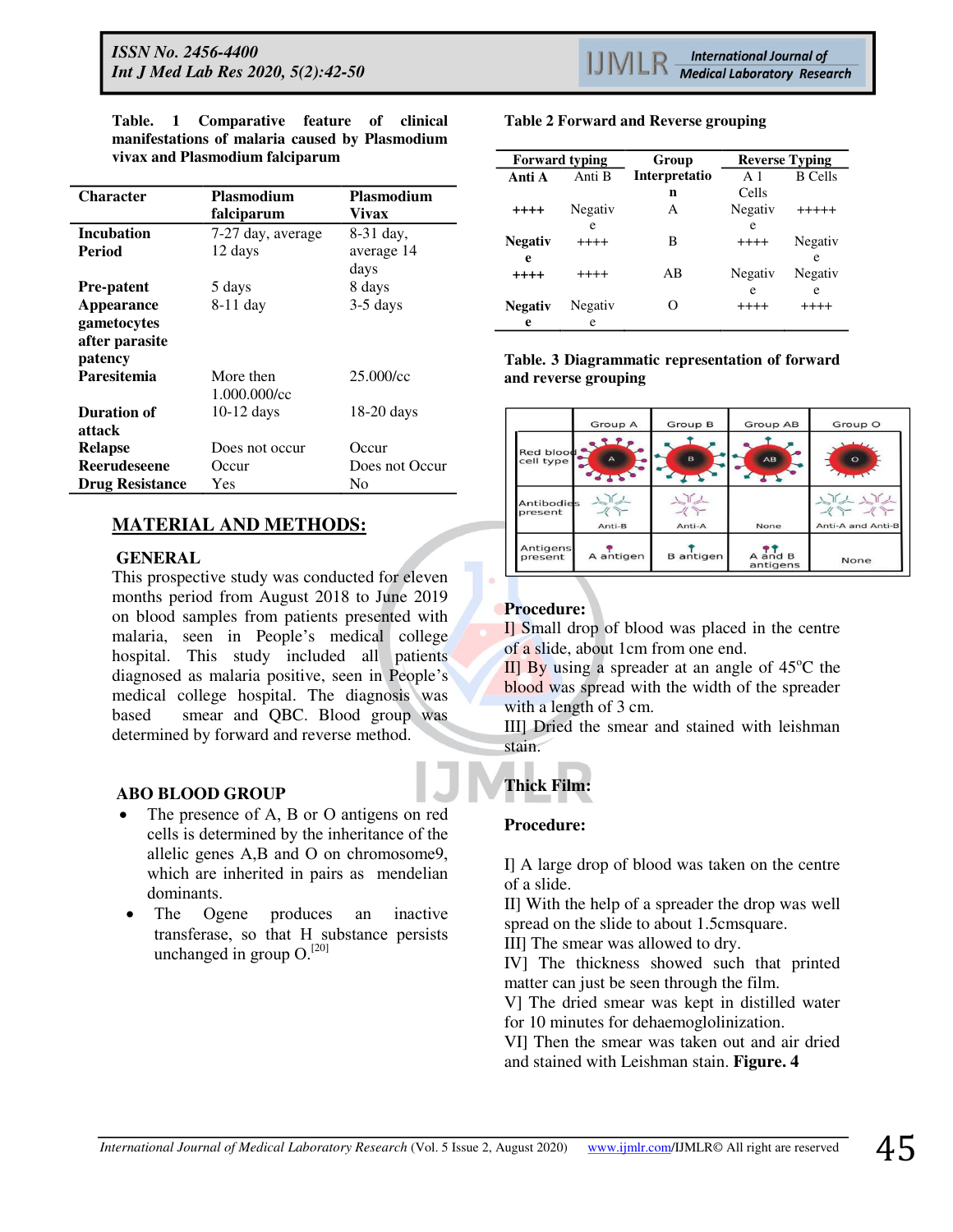**Table. 1 Comparative feature of clinical manifestations of malaria caused by Plasmodium vivax and Plasmodium falciparum** 

| <b>Character</b>       | <b>Plasmodium</b> | <b>Plasmodium</b> |
|------------------------|-------------------|-------------------|
|                        | falciparum        | Vivax             |
| <b>Incubation</b>      | 7-27 day, average | 8-31 day,         |
| Period                 | 12 days           | average 14        |
|                        |                   | days              |
| <b>Pre-patent</b>      | 5 days            | 8 days            |
| <b>Appearance</b>      | $8-11$ day        | $3-5$ days        |
| gametocytes            |                   |                   |
| after parasite         |                   |                   |
| patency                |                   |                   |
| Paresitemia            | More then         | $25.000$ /cc      |
|                        | 1.000.000/cc      |                   |
| Duration of            | $10-12$ days      | $18-20$ days      |
| attack                 |                   |                   |
| <b>Relapse</b>         | Does not occur    | Occur             |
| <b>Reerudeseene</b>    | Occur             | Does not Occur    |
| <b>Drug Resistance</b> | Yes               | No                |

# **MATERIAL AND METHODS:**

# **GENERAL**

This prospective study was conducted for eleven months period from August 2018 to June 2019 on blood samples from patients presented with malaria, seen in People's medical college hospital. This study included all patients diagnosed as malaria positive, seen in People's medical college hospital. The diagnosis was based smear and QBC. Blood group was determined by forward and reverse method.

# **ABO BLOOD GROUP**

- The presence of A, B or O antigens on red cells is determined by the inheritance of the allelic genes A,B and O on chromosome9, which are inherited in pairs as mendelian dominants.
- The Ogene produces an inactive transferase, so that H substance persists unchanged in group  $O^{[20]}$

#### **Table 2 Forward and Reverse grouping**

| <b>Forward typing</b> |         | Group         | <b>Reverse Typing</b> |                |
|-----------------------|---------|---------------|-----------------------|----------------|
| Anti A                | Anti B  | Interpretatio | $\mathbf{A}$ 1        | <b>B</b> Cells |
|                       |         | n             | Cells                 |                |
| $++++$                | Negativ | А             | Negativ               | $+++++$        |
|                       | e       |               | e                     |                |
| Negativ               | $+++++$ | В             | $++++$                | Negativ        |
| e                     |         |               |                       | e              |
| $++++$                | $+++++$ | AB            | Negativ               | Negativ        |
|                       |         |               | e                     | e              |
| <b>Negativ</b>        | Negativ | റ             | $+++++$               | $+++++$        |
| e                     | e       |               |                       |                |

**Table. 3 Diagrammatic representation of forward and reverse grouping** 



# **Procedure:**

I] Small drop of blood was placed in the centre of a slide, about 1cm from one end.

II] By using a spreader at an angle of  $45^{\circ}$ C the blood was spread with the width of the spreader with a length of 3 cm.

III] Dried the smear and stained with leishman stain.

## **Thick Film:**

# **Procedure:**

I] A large drop of blood was taken on the centre of a slide.

II] With the help of a spreader the drop was well spread on the slide to about 1.5cmsquare.

III] The smear was allowed to dry.

IV] The thickness showed such that printed matter can just be seen through the film.

V] The dried smear was kept in distilled water for 10 minutes for dehaemoglolinization.

VI] Then the smear was taken out and air dried and stained with Leishman stain. **Figure. 4**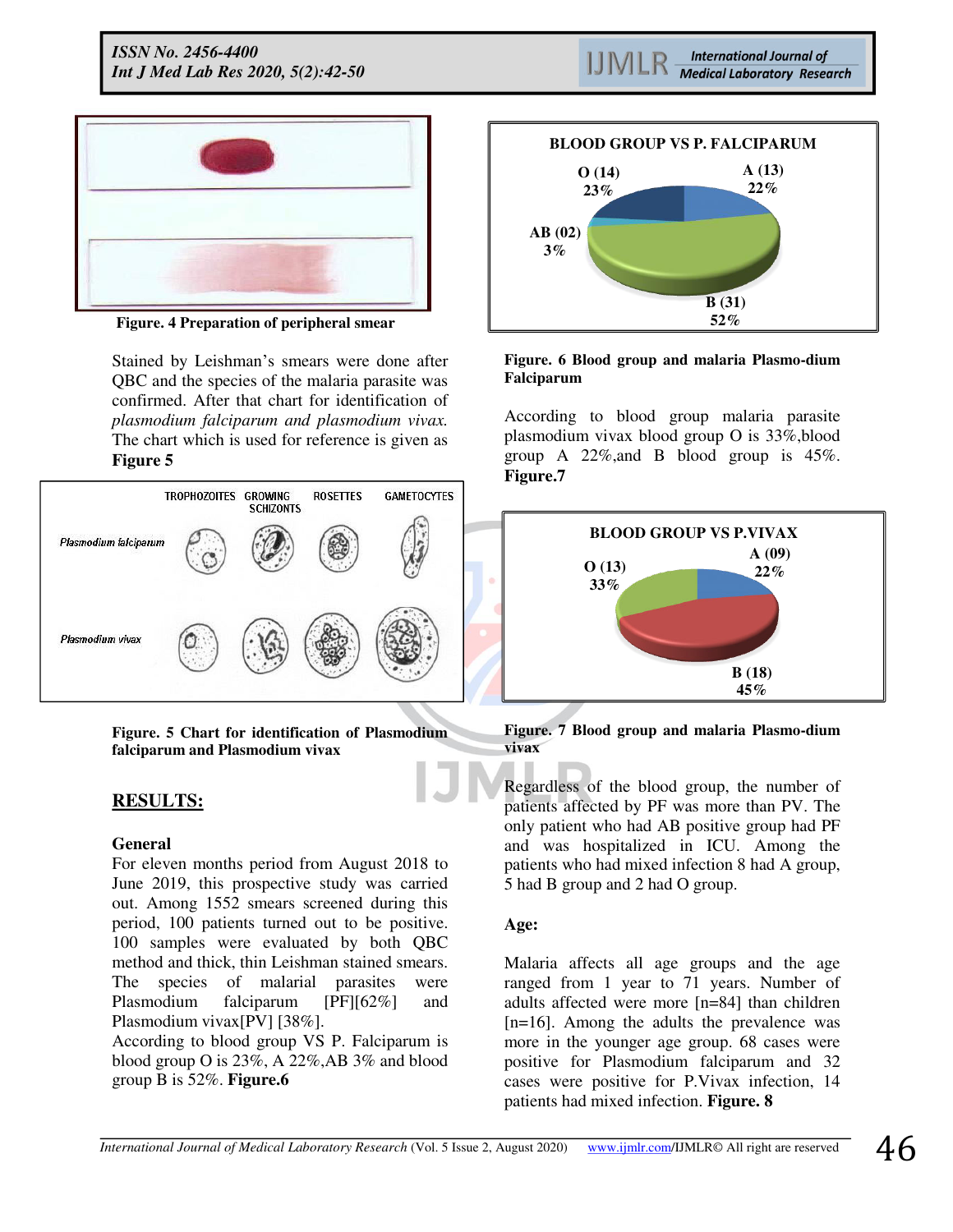*ISSN No. 2456-4400 Int J Med Lab Res 2020, 5(2):42-50* 





**Figure. 4 Preparation of peripheral smear**

Stained by Leishman's smears were done after QBC and the species of the malaria parasite was confirmed. After that chart for identification of *plasmodium falciparum and plasmodium vivax.* The chart which is used for reference is given as **Figure 5**



**Figure. 5 Chart for identification of Plasmodium falciparum and Plasmodium vivax** 

# **RESULTS:**

## **General**

For eleven months period from August 2018 to June 2019, this prospective study was carried out. Among 1552 smears screened during this period, 100 patients turned out to be positive. 100 samples were evaluated by both QBC method and thick, thin Leishman stained smears. The species of malarial parasites were Plasmodium falciparum [PF][62%] and Plasmodium vivax[PV] [38%].

According to blood group VS P. Falciparum is blood group O is 23%, A 22%,AB 3% and blood group B is 52%. **Figure.6** 



#### **Figure. 6 Blood group and malaria Plasmo-dium Falciparum**

According to blood group malaria parasite plasmodium vivax blood group O is 33%,blood group A 22%,and B blood group is 45%. **Figure.7** 



**Figure. 7 Blood group and malaria Plasmo-dium vivax** 

Regardless of the blood group, the number of patients affected by PF was more than PV. The only patient who had AB positive group had PF and was hospitalized in ICU. Among the patients who had mixed infection 8 had A group, 5 had B group and 2 had O group.

## **Age:**

Malaria affects all age groups and the age ranged from 1 year to 71 years. Number of adults affected were more [n=84] than children [n=16]. Among the adults the prevalence was more in the younger age group. 68 cases were positive for Plasmodium falciparum and 32 cases were positive for P.Vivax infection, 14 patients had mixed infection. **Figure. 8**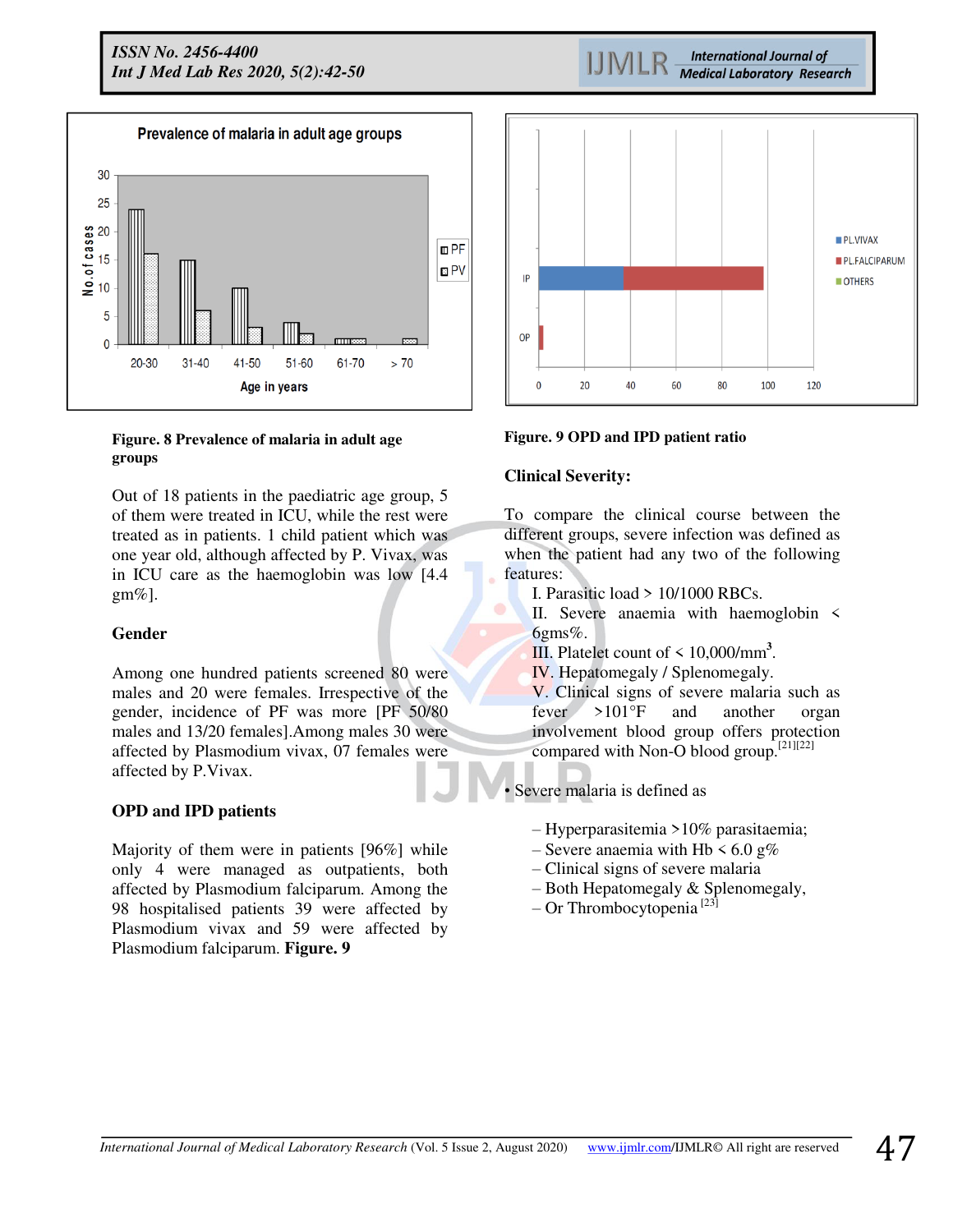*ISSN No. 2456-4400 Int J Med Lab Res 2020, 5(2):42-50* 



#### **Figure. 8 Prevalence of malaria in adult age groups**

Out of 18 patients in the paediatric age group, 5 of them were treated in ICU, while the rest were treated as in patients. 1 child patient which was one year old, although affected by P. Vivax, was in ICU care as the haemoglobin was low [4.4  $gm\%$ ].

## **Gender**

Among one hundred patients screened 80 were males and 20 were females. Irrespective of the gender, incidence of PF was more [PF 50/80 males and 13/20 females].Among males 30 were affected by Plasmodium vivax, 07 females were affected by P.Vivax.

## **OPD and IPD patients**

Majority of them were in patients [96%] while only 4 were managed as outpatients, both affected by Plasmodium falciparum. Among the 98 hospitalised patients 39 were affected by Plasmodium vivax and 59 were affected by Plasmodium falciparum. **Figure. 9**

PL.VIVAX PL.FALCIPARUM IP OTHERS OP  $20$ <sub>n</sub> 40 60 80 100  $120$ 

**International Journal of Medical Laboratory Research** 

## **Figure. 9 OPD and IPD patient ratio**

# **Clinical Severity:**

To compare the clinical course between the different groups, severe infection was defined as when the patient had any two of the following features:

- I. Parasitic load > 10/1000 RBCs.
- II. Severe anaemia with haemoglobin < 6gms%.
- III. Platelet count of < 10,000/mm**<sup>3</sup>** .
- IV. Hepatomegaly / Splenomegaly.

V. Clinical signs of severe malaria such as fever >101°F and another organ involvement blood group offers protection compared with Non-O blood group.[21][22]

• Severe malaria is defined as

- Hyperparasitemia >10% parasitaemia;
- Severe anaemia with Hb  $\leq 6.0$  g%
- Clinical signs of severe malaria
- Both Hepatomegaly & Splenomegaly,
- $-$  Or Thrombocytopenia<sup>[23]</sup>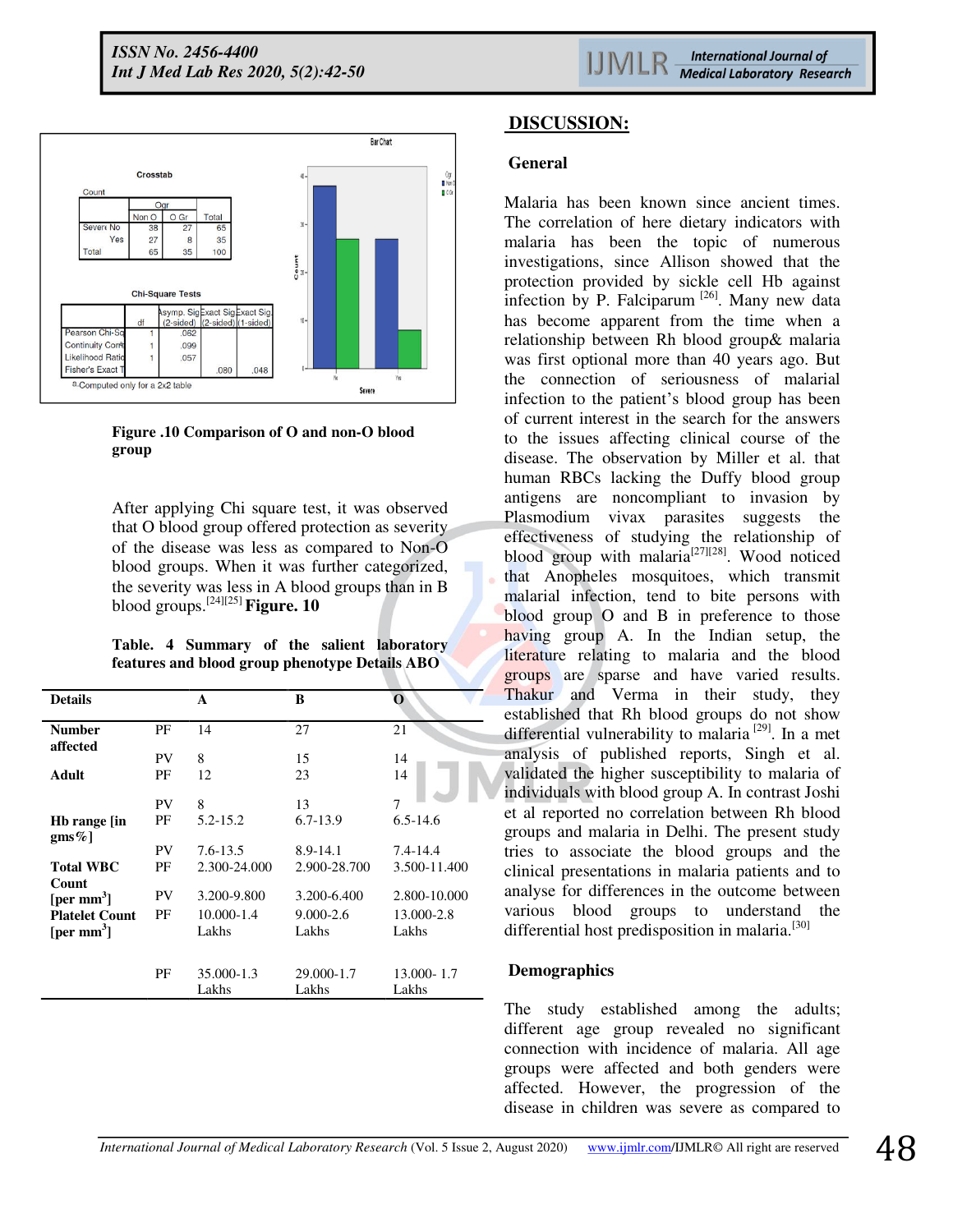

**Figure .10 Comparison of O and non-O blood group**

After applying Chi square test, it was observed that O blood group offered protection as severity of the disease was less as compared to Non-O blood groups. When it was further categorized, the severity was less in A blood groups than in B blood groups.[24][25] **Figure. 10** 

**Table. 4 Summary of the salient laboratory features and blood group phenotype Details ABO** 

| <b>Details</b>                                  |           | A                   | B                      | O                   |
|-------------------------------------------------|-----------|---------------------|------------------------|---------------------|
| <b>Number</b><br>affected                       | PF        | 14                  | 27                     | 21                  |
|                                                 | PV        | 8                   | 15                     | 14                  |
| Adult                                           | РF        | 12                  | 23                     | 14                  |
|                                                 | <b>PV</b> | 8                   | 13                     | 7                   |
| Hb range [in<br>$gms\%$                         | РF        | 5.2-15.2            | $6.7 - 13.9$           | $6.5 - 14.6$        |
|                                                 | <b>PV</b> | $7.6 - 13.5$        | 8.9-14.1               | $7.4 - 14.4$        |
| <b>Total WBC</b><br>Count                       | PF        | 2.300-24.000        | 2.900-28.700           | 3.500-11.400        |
| [per mm <sup>3</sup> ]                          | PV        | 3.200-9.800         | 3.200-6.400            | 2.800-10.000        |
| <b>Platelet Count</b><br>[per mm <sup>3</sup> ] | PF        | 10.000-1.4<br>Lakhs | $9.000 - 2.6$<br>Lakhs | 13.000-2.8<br>Lakhs |
|                                                 | PF        | 35.000-1.3<br>Lakhs | 29.000-1.7<br>Lakhs    | 13.000-1.7<br>Lakhs |

# **DISCUSSION:**

## **General**

Malaria has been known since ancient times. The correlation of here dietary indicators with malaria has been the topic of numerous investigations, since Allison showed that the protection provided by sickle cell Hb against infection by P. Falciparum  $^{[26]}$ . Many new data has become apparent from the time when a relationship between Rh blood group& malaria was first optional more than 40 years ago. But the connection of seriousness of malarial infection to the patient's blood group has been of current interest in the search for the answers to the issues affecting clinical course of the disease. The observation by Miller et al. that human RBCs lacking the Duffy blood group antigens are noncompliant to invasion by Plasmodium vivax parasites suggests the effectiveness of studying the relationship of blood group with malaria<sup>[27][28]</sup>. Wood noticed that Anopheles mosquitoes, which transmit malarial infection, tend to bite persons with blood group O and B in preference to those having group A. In the Indian setup, the literature relating to malaria and the blood groups are sparse and have varied results. Thakur and Verma in their study, they established that Rh blood groups do not show differential vulnerability to malaria  $[29]$ . In a met analysis of published reports, Singh et al. validated the higher susceptibility to malaria of individuals with blood group A. In contrast Joshi et al reported no correlation between Rh blood groups and malaria in Delhi. The present study tries to associate the blood groups and the clinical presentations in malaria patients and to analyse for differences in the outcome between various blood groups to understand the differential host predisposition in malaria.<sup>[30]</sup>

# **Demographics**

The study established among the adults; different age group revealed no significant connection with incidence of malaria. All age groups were affected and both genders were affected. However, the progression of the disease in children was severe as compared to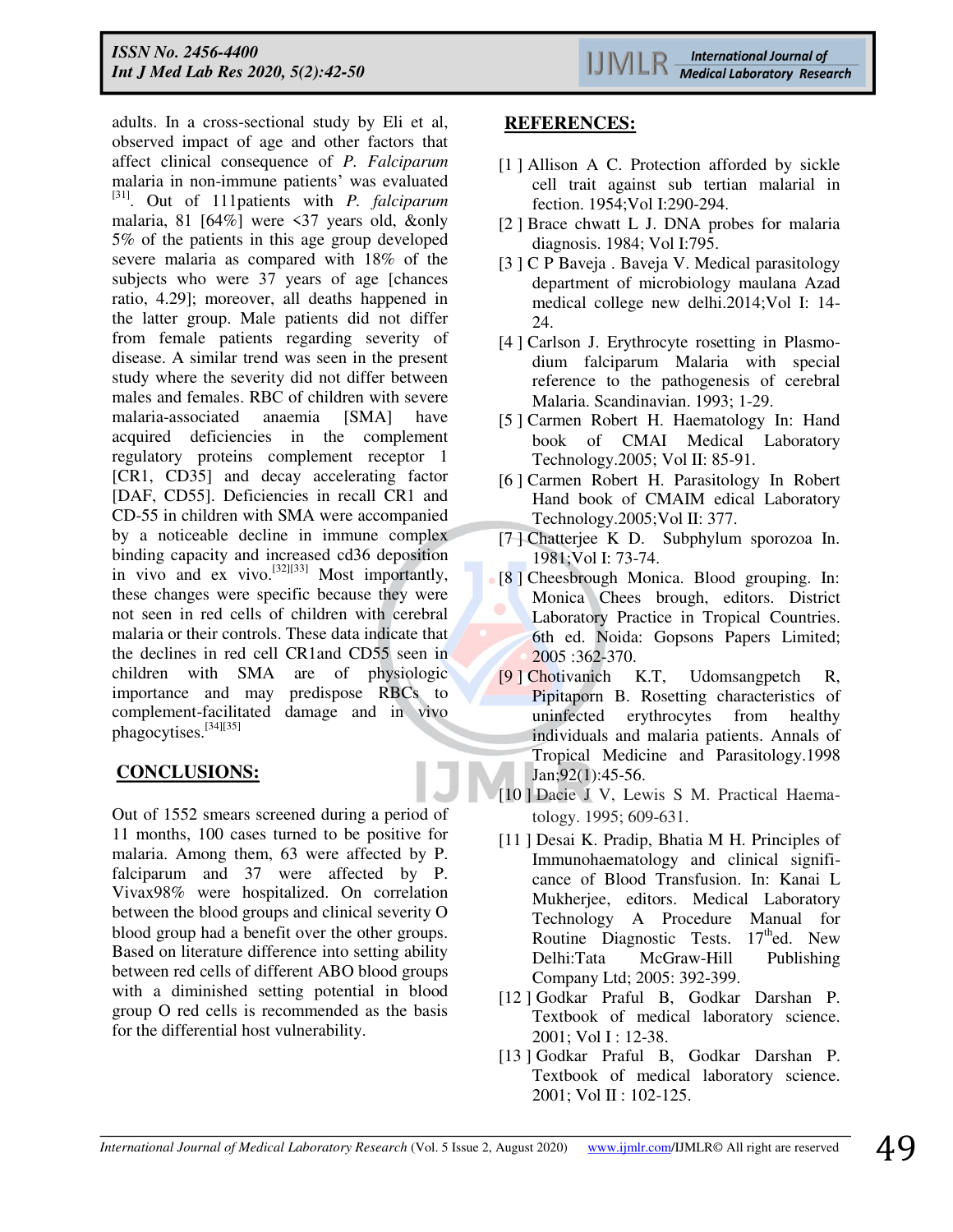adults. In a cross-sectional study by Eli et al, observed impact of age and other factors that affect clinical consequence of *P. Falciparum*  malaria in non-immune patients' was evaluated [31]. Out of 111patients with *P. falciparum*  malaria, 81 [64%] were <37 years old, &only 5% of the patients in this age group developed severe malaria as compared with 18% of the subjects who were 37 years of age [chances ratio, 4.29]; moreover, all deaths happened in the latter group. Male patients did not differ from female patients regarding severity of disease. A similar trend was seen in the present study where the severity did not differ between males and females. RBC of children with severe malaria-associated anaemia [SMA] have acquired deficiencies in the complement regulatory proteins complement receptor 1 [CR1, CD35] and decay accelerating factor [DAF, CD55]. Deficiencies in recall CR1 and CD-55 in children with SMA were accompanied by a noticeable decline in immune complex binding capacity and increased cd36 deposition in vivo and ex vivo.<sup>[32][33]</sup> Most importantly, these changes were specific because they were not seen in red cells of children with cerebral malaria or their controls. These data indicate that the declines in red cell CR1and CD55 seen in children with SMA are of physiologic importance and may predispose RBCs to complement-facilitated damage and in vivo phagocytises.[34][35]

# **CONCLUSIONS:**

Out of 1552 smears screened during a period of 11 months, 100 cases turned to be positive for malaria. Among them, 63 were affected by P. falciparum and 37 were affected by P. Vivax98% were hospitalized. On correlation between the blood groups and clinical severity O blood group had a benefit over the other groups. Based on literature difference into setting ability between red cells of different ABO blood groups with a diminished setting potential in blood group O red cells is recommended as the basis for the differential host vulnerability.

# **REFERENCES:**

- [1] Allison A C. Protection afforded by sickle cell trait against sub tertian malarial in fection. 1954;Vol I:290-294.
- [2 ] Brace chwatt L J. DNA probes for malaria diagnosis. 1984; Vol I:795.
- [3 ] C P Baveja . Baveja V. Medical parasitology department of microbiology maulana Azad medical college new delhi.2014;Vol I: 14- 24.
- [4 ] Carlson J. Erythrocyte rosetting in Plasmodium falciparum Malaria with special reference to the pathogenesis of cerebral Malaria. Scandinavian. 1993; 1-29.
- [5 ] Carmen Robert H. Haematology In: Hand book of CMAI Medical Laboratory Technology.2005; Vol II: 85-91.
- [6 ] Carmen Robert H. Parasitology In Robert Hand book of CMAIM edical Laboratory Technology.2005;Vol II: 377.
- [7 ] Chatterjee K D. Subphylum sporozoa In. 1981;Vol I: 73-74.
- [8 ] Cheesbrough Monica. Blood grouping. In: Monica Chees brough, editors. District Laboratory Practice in Tropical Countries. 6th ed. Noida: Gopsons Papers Limited; 2005 :362-370.
- [9 ] Chotivanich K.T, Udomsangpetch R, Pipitaporn B. Rosetting characteristics of uninfected erythrocytes from healthy individuals and malaria patients. Annals of Tropical Medicine and Parasitology.1998 Jan;92(1):45-56.
- [10 ] Dacie J V, Lewis S M. Practical Haematology. 1995; 609-631.
- [11] Desai K. Pradip, Bhatia M H. Principles of Immunohaematology and clinical significance of Blood Transfusion. In: Kanai L Mukherjee, editors. Medical Laboratory Technology A Procedure Manual for Routine Diagnostic Tests.  $17<sup>th</sup>$ ed. New Delhi:Tata McGraw-Hill Publishing Company Ltd; 2005: 392-399.
- [12 ] Godkar Praful B, Godkar Darshan P. Textbook of medical laboratory science. 2001; Vol I : 12-38.
- [13 ] Godkar Praful B, Godkar Darshan P. Textbook of medical laboratory science. 2001; Vol II : 102-125.